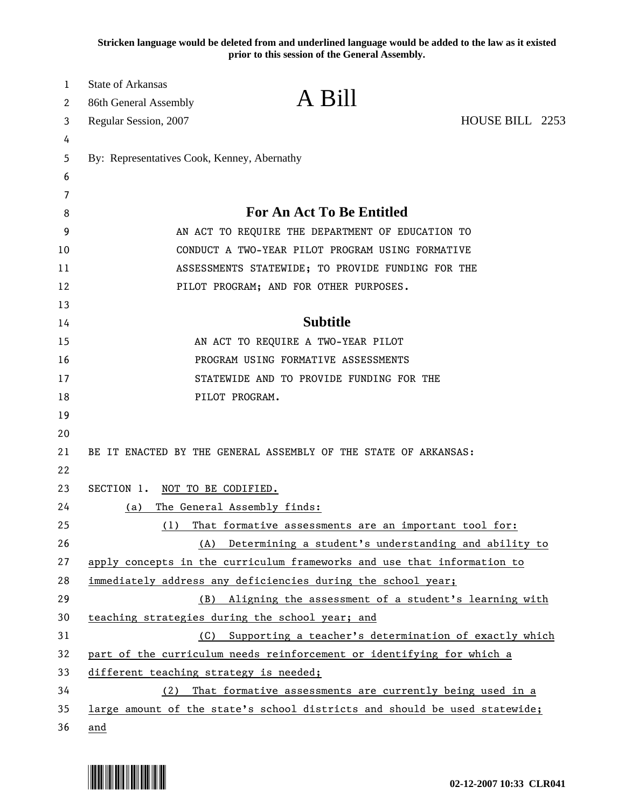**Stricken language would be deleted from and underlined language would be added to the law as it existed prior to this session of the General Assembly.**

| 1  | <b>State of Arkansas</b>                                                   |
|----|----------------------------------------------------------------------------|
| 2  | A Bill<br>86th General Assembly                                            |
| 3  | HOUSE BILL 2253<br>Regular Session, 2007                                   |
| 4  |                                                                            |
| 5  | By: Representatives Cook, Kenney, Abernathy                                |
| 6  |                                                                            |
| 7  |                                                                            |
| 8  | For An Act To Be Entitled                                                  |
| 9  | AN ACT TO REQUIRE THE DEPARTMENT OF EDUCATION TO                           |
| 10 | CONDUCT A TWO-YEAR PILOT PROGRAM USING FORMATIVE                           |
| 11 | ASSESSMENTS STATEWIDE; TO PROVIDE FUNDING FOR THE                          |
| 12 | PILOT PROGRAM; AND FOR OTHER PURPOSES.                                     |
| 13 |                                                                            |
| 14 | <b>Subtitle</b>                                                            |
| 15 | AN ACT TO REQUIRE A TWO-YEAR PILOT                                         |
| 16 | PROGRAM USING FORMATIVE ASSESSMENTS                                        |
| 17 | STATEWIDE AND TO PROVIDE FUNDING FOR THE                                   |
| 18 | PILOT PROGRAM.                                                             |
| 19 |                                                                            |
| 20 |                                                                            |
| 21 | BE IT ENACTED BY THE GENERAL ASSEMBLY OF THE STATE OF ARKANSAS:            |
| 22 |                                                                            |
| 23 | SECTION 1. NOT TO BE CODIFIED.                                             |
| 24 | The General Assembly finds:<br>(a)                                         |
| 25 | That formative assessments are an important tool for:<br>(1)               |
| 26 | Determining a student's understanding and ability to<br>(A)                |
| 27 | apply concepts in the curriculum frameworks and use that information to    |
| 28 | immediately address any deficiencies during the school year;               |
| 29 | Aligning the assessment of a student's learning with<br>(B)                |
| 30 | teaching strategies during the school year; and                            |
| 31 | Supporting a teacher's determination of exactly which<br>(C)               |
| 32 | part of the curriculum needs reinforcement or identifying for which a      |
| 33 | different teaching strategy is needed;                                     |
| 34 | That formative assessments are currently being used in a<br>(2)            |
| 35 | large amount of the state's school districts and should be used statewide; |
| 36 | and                                                                        |